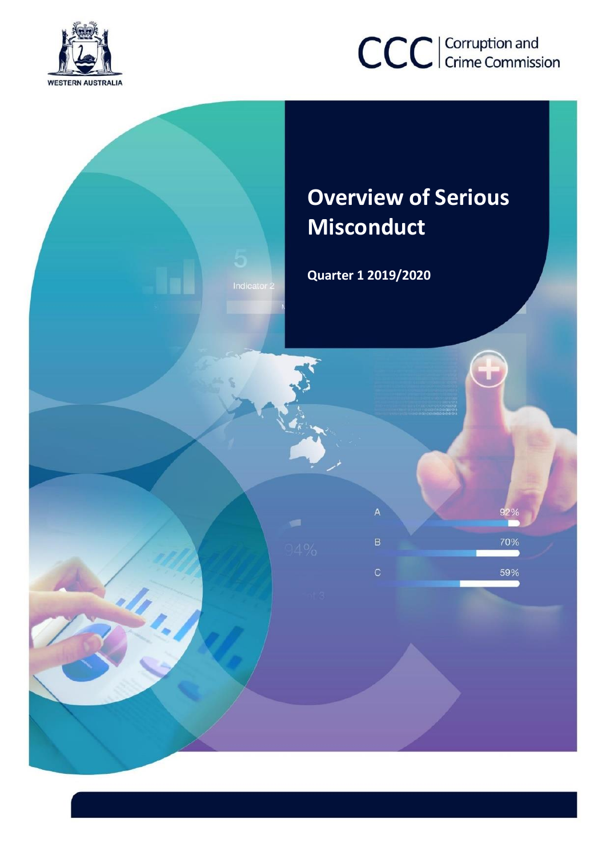

# CCC | Corruption and

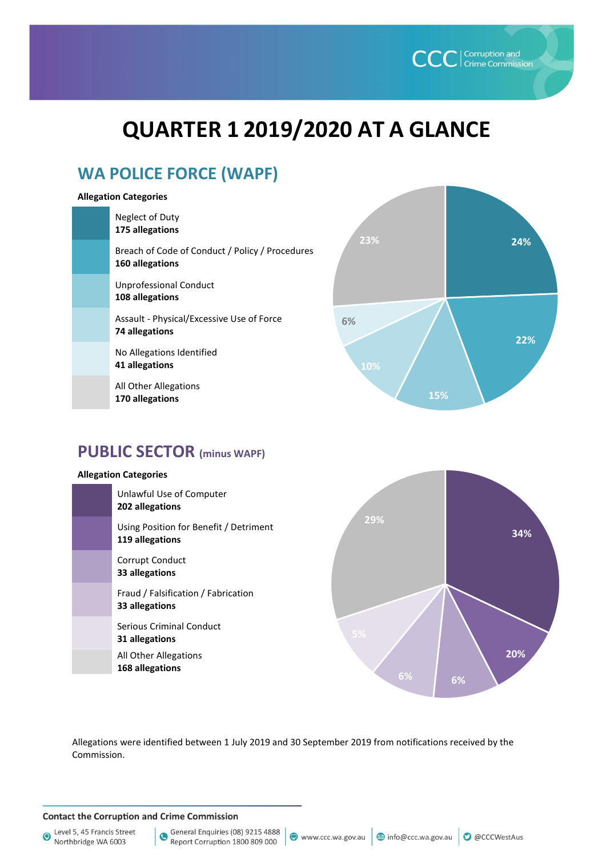# **QUARTER 1 2019/2020 AT A GLANCE**

## **WA POLICE FORCE (WAPF)**

#### **Allegation Categories**

| Neglect of Duty<br>175 allegations                                 |
|--------------------------------------------------------------------|
| Breach of Code of Conduct / Policy / Procedures<br>160 allegations |
| <b>Unprofessional Conduct</b><br>108 allegations                   |
| Assault - Physical/Excessive Use of Force<br>74 allegations        |
| No Allegations Identified<br>41 allegations                        |
|                                                                    |

All Other Allegations **170 allegations** 



**CCC** Crime Commission

### **PUBLIC SECTOR (minus WAPF)**

#### **Allegation Categories**





Allegations were identified between 1 July 2019 and 30 September 2019 from notifications received by the Commission.

#### **Contact the Corruption and Crime Commission**

Level 5, 45 Francis Street  $\odot$ Northbridge WA 6003

General Enquiries (08) 9215 4888  $\bullet$ Report Corruption 1800 809 000

www.ccc.wa.gov.au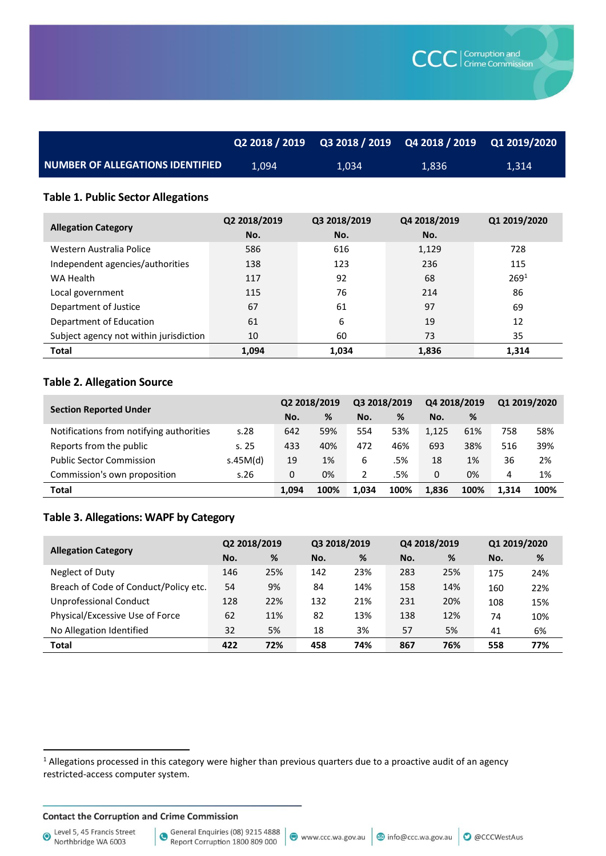|                                         | Q2 2018 / 2019 | Q3 2018 / 2019   Q4 2018 / 2019   Q1 2019/2020 <sub> </sub> |        |       |
|-----------------------------------------|----------------|-------------------------------------------------------------|--------|-------|
| <b>NUMBER OF ALLEGATIONS IDENTIFIED</b> | 1.094          | 1.034                                                       | 1.836' | 1,314 |

#### **Table 1. Public Sector Allegations**

| <b>Allegation Category</b>             | Q2 2018/2019<br>No. | Q3 2018/2019<br>No. | Q4 2018/2019<br>No. | Q1 2019/2020     |
|----------------------------------------|---------------------|---------------------|---------------------|------------------|
| Western Australia Police               | 586                 | 616                 | 1,129               | 728              |
| Independent agencies/authorities       | 138                 | 123                 | 236                 | 115              |
| WA Health                              | 117                 | 92                  | 68                  | 269 <sup>1</sup> |
| Local government                       | 115                 | 76                  | 214                 | 86               |
| Department of Justice                  | 67                  | 61                  | 97                  | 69               |
| Department of Education                | 61                  | 6                   | 19                  | 12               |
| Subject agency not within jurisdiction | 10                  | 60                  | 73                  | 35               |
| <b>Total</b>                           | 1,094               | 1.034               | 1,836               | 1,314            |

#### **Table 2. Allegation Source**

|                                          |          | Q2 2018/2019 |      | Q3 2018/2019 |      | Q4 2018/2019 |      | Q1 2019/2020 |      |
|------------------------------------------|----------|--------------|------|--------------|------|--------------|------|--------------|------|
| <b>Section Reported Under</b>            |          | No.          | %    | No.          | %    | No.          | %    |              |      |
| Notifications from notifying authorities | s.28     | 642          | 59%  | 554          | 53%  | 1.125        | 61%  | 758          | 58%  |
| Reports from the public                  | s.25     | 433          | 40%  | 472          | 46%  | 693          | 38%  | 516          | 39%  |
| <b>Public Sector Commission</b>          | s.45M(d) | 19           | 1%   | 6            | .5%  | 18           | 1%   | 36           | 2%   |
| Commission's own proposition             | s.26     | 0            | 0%   |              | .5%  | 0            | 0%   | 4            | 1%   |
| <b>Total</b>                             |          | 1.094        | 100% | 1.034        | 100% | 1.836        | 100% | 1.314        | 100% |

#### **Table 3. Allegations: WAPF by Category**

| <b>Allegation Category</b>            | Q2 2018/2019 |     | Q3 2018/2019 |     | Q4 2018/2019 |     | Q1 2019/2020 |     |
|---------------------------------------|--------------|-----|--------------|-----|--------------|-----|--------------|-----|
|                                       | No.          | %   | No.          | %   | No.          | %   | No.          | %   |
| Neglect of Duty                       | 146          | 25% | 142          | 23% | 283          | 25% | 175          | 24% |
| Breach of Code of Conduct/Policy etc. | 54           | 9%  | 84           | 14% | 158          | 14% | 160          | 22% |
| <b>Unprofessional Conduct</b>         | 128          | 22% | 132          | 21% | 231          | 20% | 108          | 15% |
| Physical/Excessive Use of Force       | 62           | 11% | 82           | 13% | 138          | 12% | 74           | 10% |
| No Allegation Identified              | 32           | 5%  | 18           | 3%  | 57           | 5%  | 41           | 6%  |
| <b>Total</b>                          | 422          | 72% | 458          | 74% | 867          | 76% | 558          | 77% |

#### **Contact the Corruption and Crime Commission**

Level 5, 45 Francis Street<br>Northbridge WA 6003

1

<sup>&</sup>lt;sup>1</sup> Allegations processed in this category were higher than previous quarters due to a proactive audit of an agency restricted-access computer system.